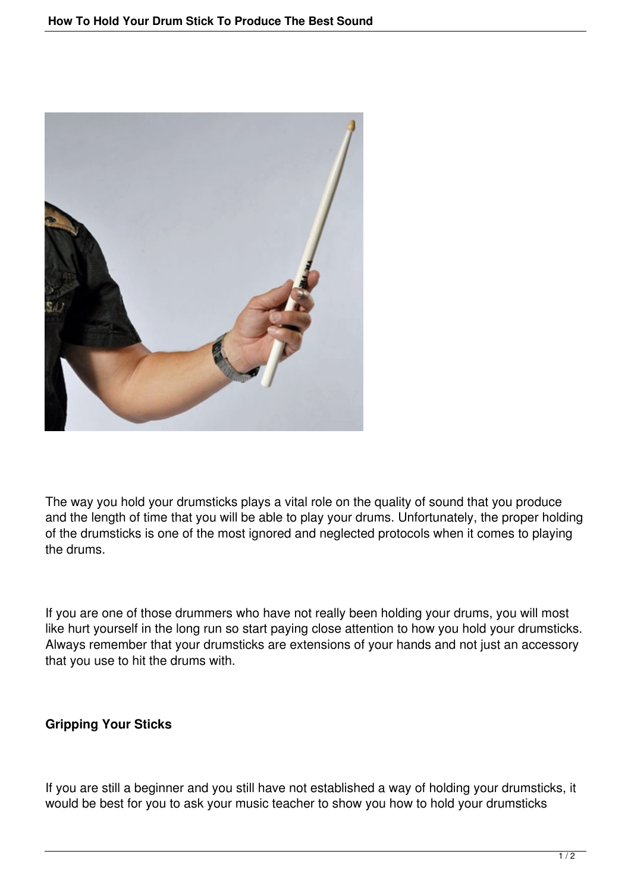

The way you hold your drumsticks plays a vital role on the quality of sound that you produce and the length of time that you will be able to play your drums. Unfortunately, the proper holding of the drumsticks is one of the most ignored and neglected protocols when it comes to playing the drums.

If you are one of those drummers who have not really been holding your drums, you will most like hurt yourself in the long run so start paying close attention to how you hold your drumsticks. Always remember that your drumsticks are extensions of your hands and not just an accessory that you use to hit the drums with.

## **Gripping Your Sticks**

If you are still a beginner and you still have not established a way of holding your drumsticks, it would be best for you to ask your music teacher to show you how to hold your drumsticks